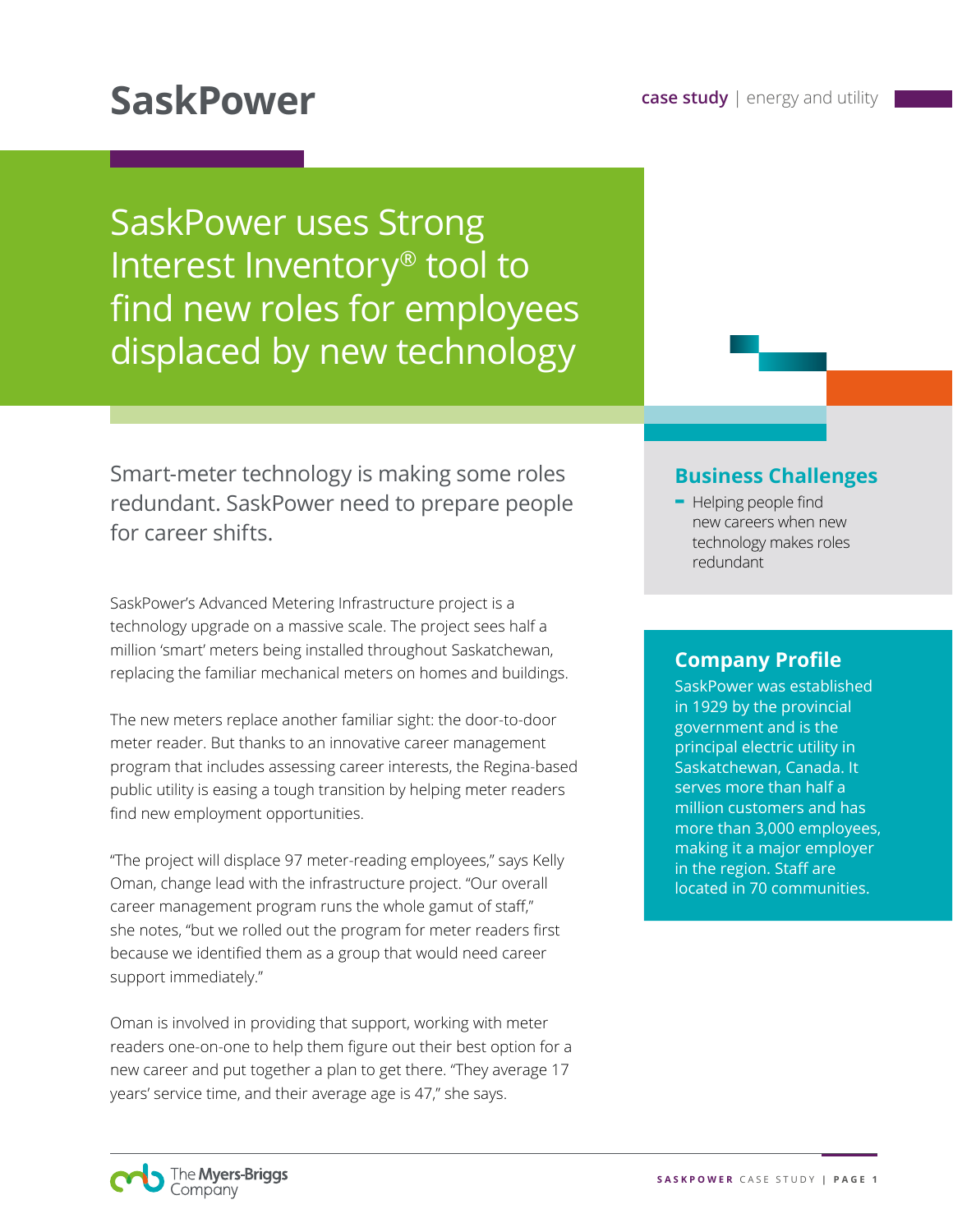# **SaskPower Case study energy and utility Sasking Sasking Sasking Sasking Sasking Sasking Sasking Sasking Sasking Sasking Sasking Sasking Sasking Sasking Sasking Sasking Sasking Sasking Sasking Sasking Sasking Sasking**

SaskPower uses Strong Interest Inventory® tool to find new roles for employees displaced by new technology

Smart-meter technology is making some roles redundant. SaskPower need to prepare people for career shifts.

SaskPower's Advanced Metering Infrastructure project is a technology upgrade on a massive scale. The project sees half a million 'smart' meters being installed throughout Saskatchewan, replacing the familiar mechanical meters on homes and buildings.

The new meters replace another familiar sight: the door-to-door meter reader. But thanks to an innovative career management program that includes assessing career interests, the Regina-based public utility is easing a tough transition by helping meter readers find new employment opportunities.

"The project will displace 97 meter-reading employees," says Kelly Oman, change lead with the infrastructure project. "Our overall career management program runs the whole gamut of staff," she notes, "but we rolled out the program for meter readers first because we identified them as a group that would need career support immediately."

Oman is involved in providing that support, working with meter readers one-on-one to help them figure out their best option for a new career and put together a plan to get there. "They average 17 years' service time, and their average age is 47," she says.

### **Business Challenges**

**-** Helping people find new careers when new technology makes roles redundant

### **Company Profile**

SaskPower was established in 1929 by the provincial government and is the principal electric utility in Saskatchewan, Canada. It serves more than half a million customers and has more than 3,000 employees, making it a major employer in the region. Staff are located in 70 communities.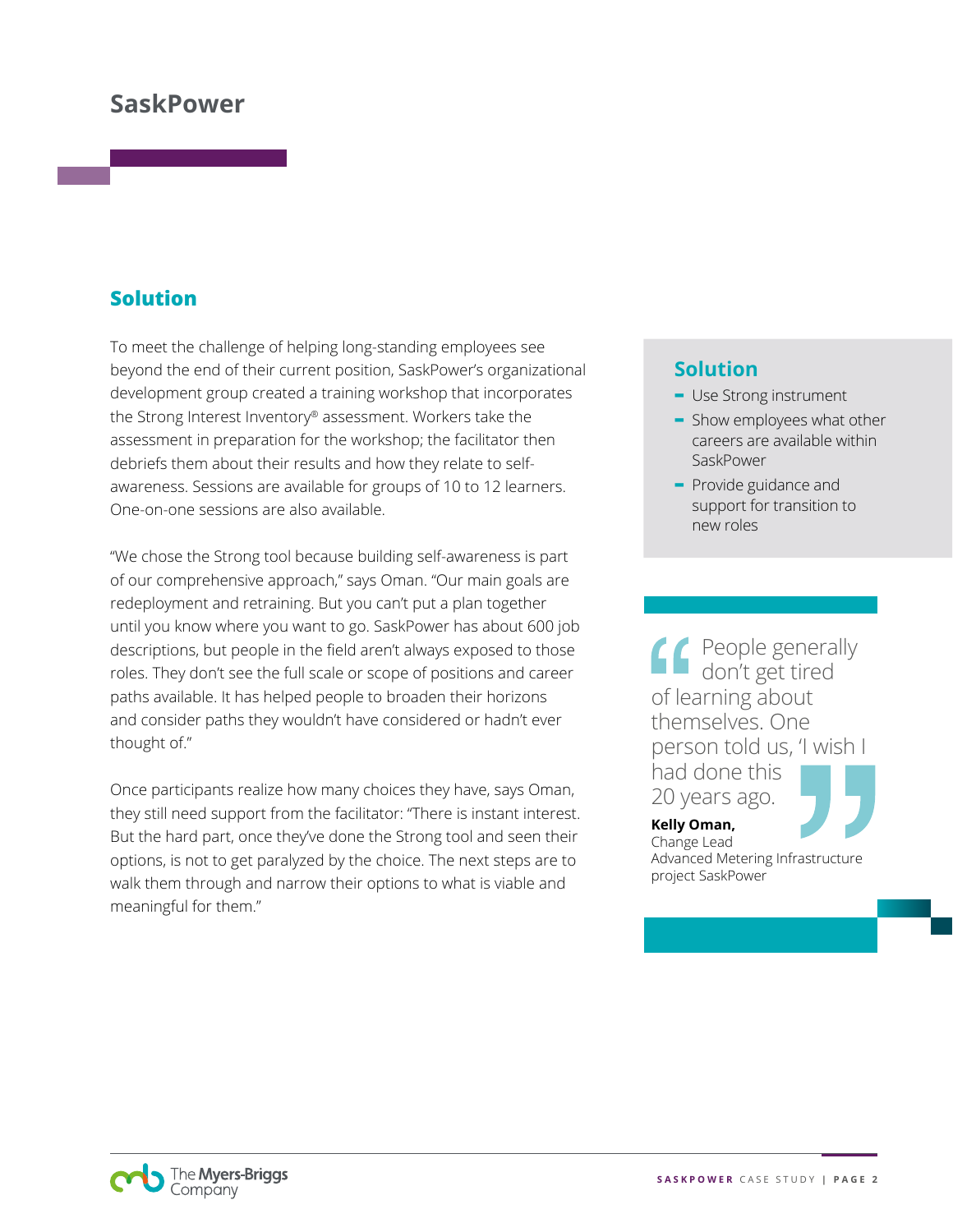## **SaskPower**

## **Solution**

To meet the challenge of helping long-standing employees see beyond the end of their current position, SaskPower's organizational development group created a training workshop that incorporates the Strong Interest Inventory® assessment. Workers take the assessment in preparation for the workshop; the facilitator then debriefs them about their results and how they relate to selfawareness. Sessions are available for groups of 10 to 12 learners. One-on-one sessions are also available.

"We chose the Strong tool because building self-awareness is part of our comprehensive approach," says Oman. "Our main goals are redeployment and retraining. But you can't put a plan together until you know where you want to go. SaskPower has about 600 job descriptions, but people in the field aren't always exposed to those roles. They don't see the full scale or scope of positions and career paths available. It has helped people to broaden their horizons and consider paths they wouldn't have considered or hadn't ever thought of."

Once participants realize how many choices they have, says Oman, they still need support from the facilitator: "There is instant interest. But the hard part, once they've done the Strong tool and seen their options, is not to get paralyzed by the choice. The next steps are to walk them through and narrow their options to what is viable and meaningful for them."

### **Solution**

- **-** Use Strong instrument
- **-** Show employees what other careers are available within SaskPower
- **-** Provide guidance and support for transition to new roles

People generally don't get tired of learning about themselves. One person told us, 'I wish I had done this 20 years ago.

**Kelly Oman,**  Change Lead Advanced Metering Infrastructure project SaskPower

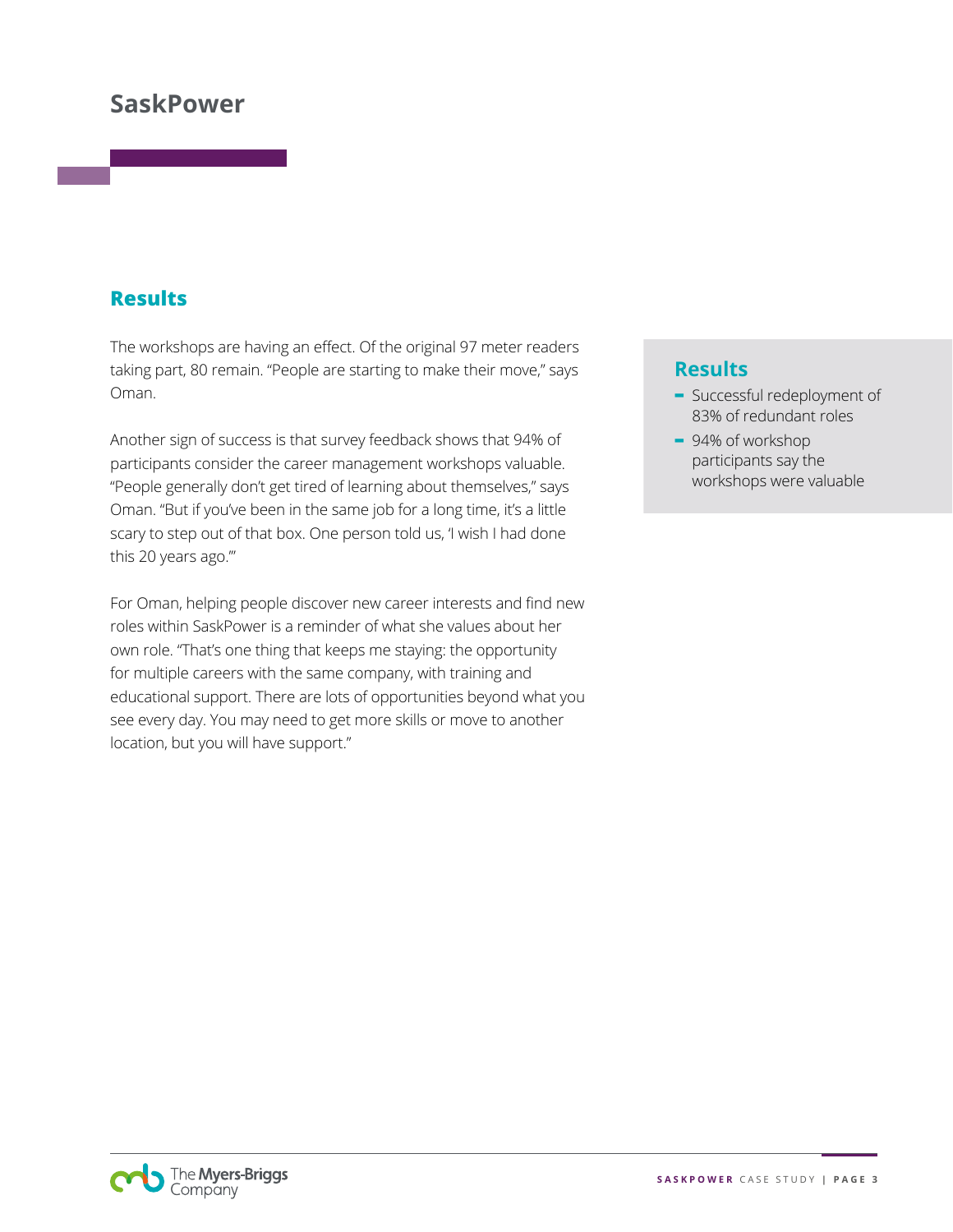# **SaskPower**

### **Results**

The workshops are having an effect. Of the original 97 meter readers taking part, 80 remain. "People are starting to make their move," says Oman.

Another sign of success is that survey feedback shows that 94% of participants consider the career management workshops valuable. "People generally don't get tired of learning about themselves," says Oman. "But if you've been in the same job for a long time, it's a little scary to step out of that box. One person told us, 'I wish I had done this 20 years ago.'"

For Oman, helping people discover new career interests and find new roles within SaskPower is a reminder of what she values about her own role. "That's one thing that keeps me staying: the opportunity for multiple careers with the same company, with training and educational support. There are lots of opportunities beyond what you see every day. You may need to get more skills or move to another location, but you will have support."

#### **Results**

- **-** Successful redeployment of 83% of redundant roles
- **-** 94% of workshop participants say the workshops were valuable